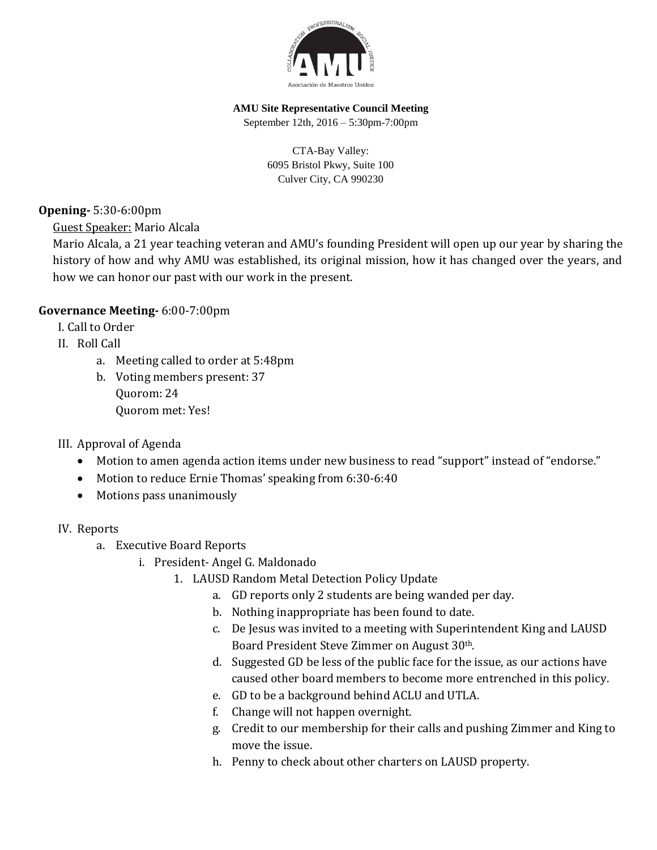

### **AMU Site Representative Council Meeting**

September 12th, 2016 – 5:30pm-7:00pm

CTA-Bay Valley: 6095 Bristol Pkwy, Suite 100 Culver City, CA 990230

**Opening-** 5:30-6:00pm

Guest Speaker: Mario Alcala

Mario Alcala, a 21 year teaching veteran and AMU's founding President will open up our year by sharing the history of how and why AMU was established, its original mission, how it has changed over the years, and how we can honor our past with our work in the present.

## **Governance Meeting-** 6:00-7:00pm

I. Call to Order

- II. Roll Call
	- a. Meeting called to order at 5:48pm
	- b. Voting members present: 37 Quorom: 24 Quorom met: Yes!
- III. Approval of Agenda
	- Motion to amen agenda action items under new business to read "support" instead of "endorse."
	- Motion to reduce Ernie Thomas' speaking from 6:30-6:40
	- Motions pass unanimously

## IV. Reports

- a. Executive Board Reports
	- i. President- Angel G. Maldonado
		- 1. LAUSD Random Metal Detection Policy Update
			- a. GD reports only 2 students are being wanded per day.
			- b. Nothing inappropriate has been found to date.
			- c. De Jesus was invited to a meeting with Superintendent King and LAUSD Board President Steve Zimmer on August 30th.
			- d. Suggested GD be less of the public face for the issue, as our actions have caused other board members to become more entrenched in this policy.
			- e. GD to be a background behind ACLU and UTLA.
			- f. Change will not happen overnight.
			- g. Credit to our membership for their calls and pushing Zimmer and King to move the issue.
			- h. Penny to check about other charters on LAUSD property.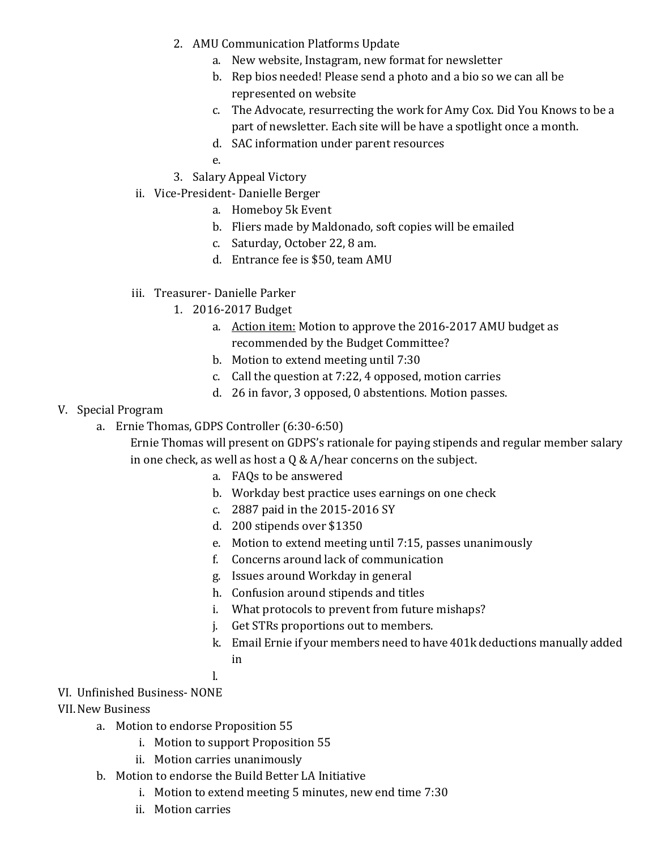- 2. AMU Communication Platforms Update
	- a. New website, Instagram, new format for newsletter
	- b. Rep bios needed! Please send a photo and a bio so we can all be represented on website
	- c. The Advocate, resurrecting the work for Amy Cox. Did You Knows to be a part of newsletter. Each site will be have a spotlight once a month.
	- d. SAC information under parent resources
	- e.
- 3. Salary Appeal Victory
- ii. Vice-President- Danielle Berger
	- a. Homeboy 5k Event
	- b. Fliers made by Maldonado, soft copies will be emailed
	- c. Saturday, October 22, 8 am.
	- d. Entrance fee is \$50, team AMU
- iii. Treasurer- Danielle Parker
	- 1. 2016-2017 Budget
		- a. Action item: Motion to approve the 2016-2017 AMU budget as recommended by the Budget Committee?
		- b. Motion to extend meeting until 7:30
		- c. Call the question at 7:22, 4 opposed, motion carries
		- d. 26 in favor, 3 opposed, 0 abstentions. Motion passes.

## V. Special Program

a. Ernie Thomas, GDPS Controller (6:30-6:50)

Ernie Thomas will present on GDPS's rationale for paying stipends and regular member salary in one check, as well as host a  $Q & A/hear$  concerns on the subject.

- a. FAQs to be answered
- b. Workday best practice uses earnings on one check
- c. 2887 paid in the 2015-2016 SY
- d. 200 stipends over \$1350
- e. Motion to extend meeting until 7:15, passes unanimously
- f. Concerns around lack of communication
- g. Issues around Workday in general
- h. Confusion around stipends and titles
- i. What protocols to prevent from future mishaps?
- j. Get STRs proportions out to members.
- k. Email Ernie if your members need to have 401k deductions manually added in
- l.

# VI. Unfinished Business- NONE

VII.New Business

- a. Motion to endorse Proposition 55
	- i. Motion to support Proposition 55
	- ii. Motion carries unanimously
- b. Motion to endorse the Build Better LA Initiative
	- i. Motion to extend meeting 5 minutes, new end time 7:30
	- ii. Motion carries